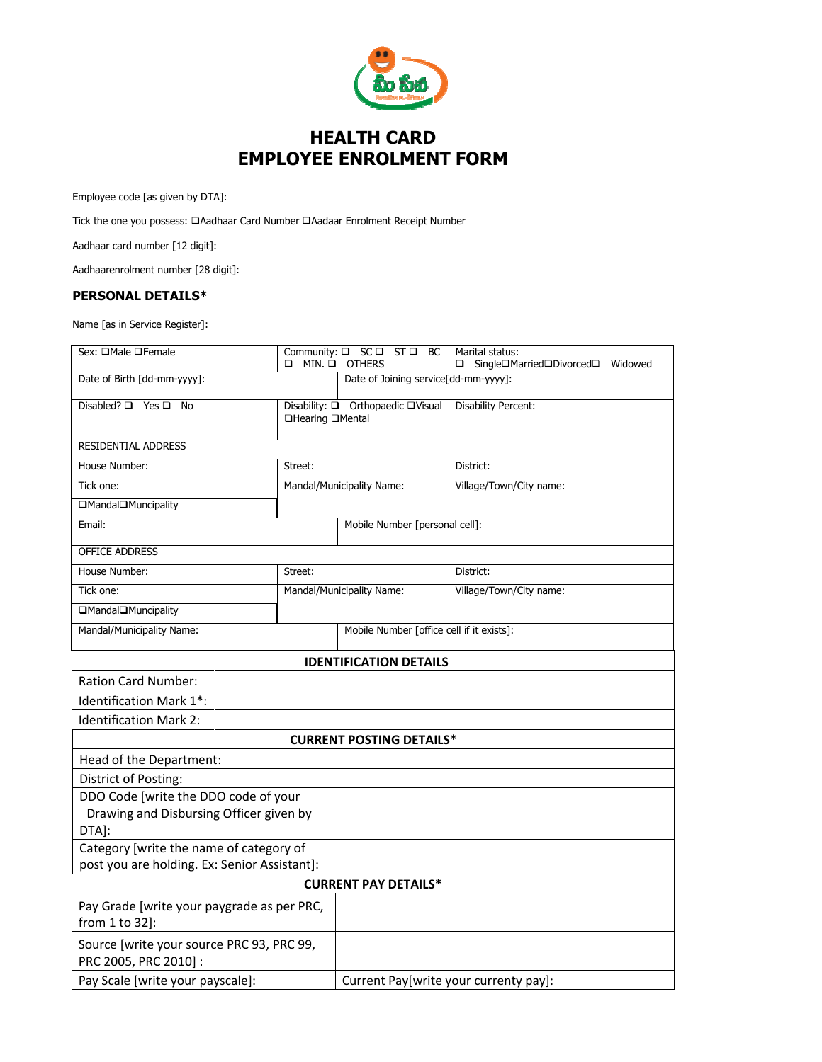

## HEALTH CARD EMPLOYEE ENROLMENT FORM

Employee code [as given by DTA]:

Tick the one you possess:  $\Box$ Aadhaar Card Number  $\Box$ Aadaar Enrolment Receipt Number

Aadhaar card number [12 digit]:

Aadhaarenrolment number [28 digit]:

## PERSONAL DETAILS\*

Name [as in Service Register]:

| Sex: OMale OFemale                                                                      |  | $\Box$ MIN. $\Box$                                    | Community: Q SC Q ST Q BC<br><b>OTHERS</b> | Marital status:<br>$\Box$ Single $\Box$ Married $\Box$ Divorced $\Box$<br>Widowed |  |  |  |  |
|-----------------------------------------------------------------------------------------|--|-------------------------------------------------------|--------------------------------------------|-----------------------------------------------------------------------------------|--|--|--|--|
| Date of Birth [dd-mm-yyyy]:                                                             |  |                                                       | Date of Joining service[dd-mm-yyyy]:       |                                                                                   |  |  |  |  |
| Disabled? □ Yes □ No                                                                    |  | Disability: □ Orthopaedic □Visual<br>□Hearing □Mental |                                            | <b>Disability Percent:</b>                                                        |  |  |  |  |
| <b>RESIDENTIAL ADDRESS</b>                                                              |  |                                                       |                                            |                                                                                   |  |  |  |  |
| House Number:                                                                           |  | Street:                                               |                                            | District:                                                                         |  |  |  |  |
| Tick one:                                                                               |  | Mandal/Municipality Name:                             |                                            | Village/Town/City name:                                                           |  |  |  |  |
| □Mandal□Muncipality                                                                     |  |                                                       |                                            |                                                                                   |  |  |  |  |
| Email:                                                                                  |  | Mobile Number [personal cell]:                        |                                            |                                                                                   |  |  |  |  |
| <b>OFFICE ADDRESS</b>                                                                   |  |                                                       |                                            |                                                                                   |  |  |  |  |
| House Number:                                                                           |  | Street:                                               |                                            | District:                                                                         |  |  |  |  |
| Tick one:                                                                               |  | Mandal/Municipality Name:                             |                                            | Village/Town/City name:                                                           |  |  |  |  |
| □Mandal□Muncipality                                                                     |  |                                                       |                                            |                                                                                   |  |  |  |  |
| Mandal/Municipality Name:                                                               |  | Mobile Number [office cell if it exists]:             |                                            |                                                                                   |  |  |  |  |
| <b>IDENTIFICATION DETAILS</b>                                                           |  |                                                       |                                            |                                                                                   |  |  |  |  |
| <b>Ration Card Number:</b>                                                              |  |                                                       |                                            |                                                                                   |  |  |  |  |
| Identification Mark 1*:                                                                 |  |                                                       |                                            |                                                                                   |  |  |  |  |
| <b>Identification Mark 2:</b>                                                           |  |                                                       |                                            |                                                                                   |  |  |  |  |
| <b>CURRENT POSTING DETAILS*</b>                                                         |  |                                                       |                                            |                                                                                   |  |  |  |  |
| Head of the Department:                                                                 |  |                                                       |                                            |                                                                                   |  |  |  |  |
| District of Posting:                                                                    |  |                                                       |                                            |                                                                                   |  |  |  |  |
| DDO Code [write the DDO code of your                                                    |  |                                                       |                                            |                                                                                   |  |  |  |  |
| Drawing and Disbursing Officer given by                                                 |  |                                                       |                                            |                                                                                   |  |  |  |  |
| DTA]:                                                                                   |  |                                                       |                                            |                                                                                   |  |  |  |  |
| Category [write the name of category of<br>post you are holding. Ex: Senior Assistant]: |  |                                                       |                                            |                                                                                   |  |  |  |  |
| <b>CURRENT PAY DETAILS*</b>                                                             |  |                                                       |                                            |                                                                                   |  |  |  |  |
| Pay Grade [write your paygrade as per PRC,                                              |  |                                                       |                                            |                                                                                   |  |  |  |  |
| from 1 to 32]:                                                                          |  |                                                       |                                            |                                                                                   |  |  |  |  |
| Source [write your source PRC 93, PRC 99,<br>PRC 2005, PRC 2010]:                       |  |                                                       |                                            |                                                                                   |  |  |  |  |
| Pay Scale [write your payscale]:                                                        |  |                                                       | Current Pay[write your currenty pay]:      |                                                                                   |  |  |  |  |
|                                                                                         |  |                                                       |                                            |                                                                                   |  |  |  |  |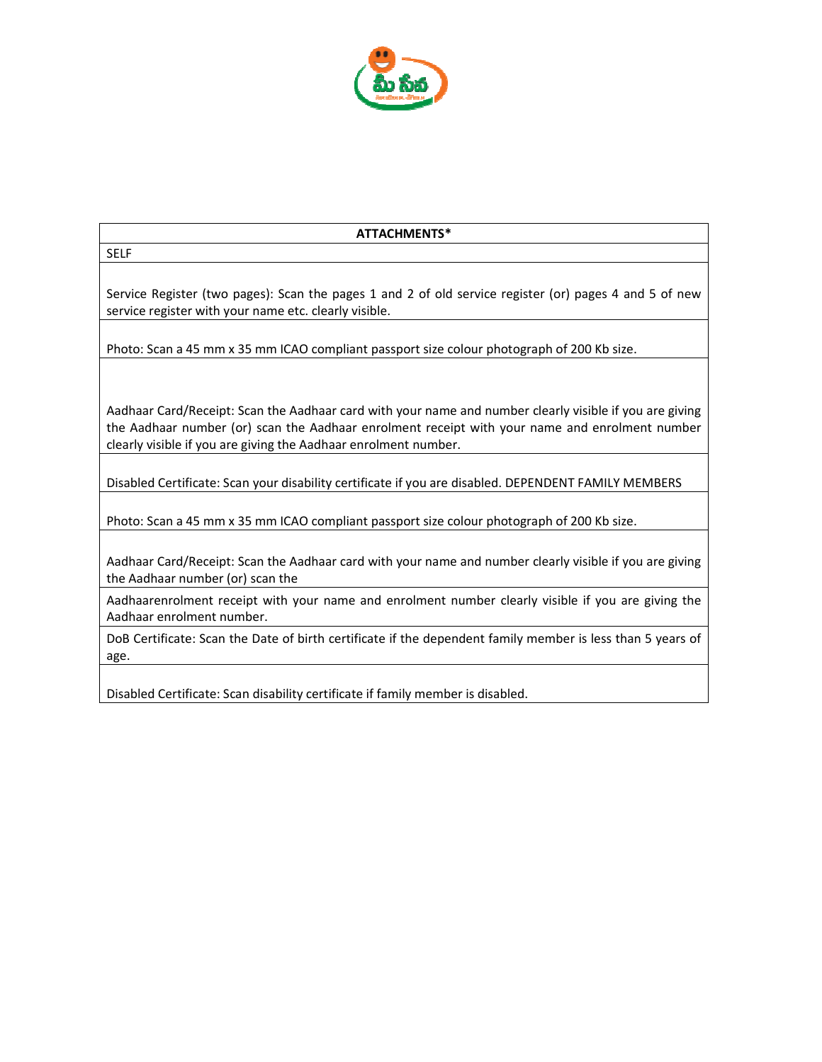

## ATTACHMENTS\*

Service Register (two pages): Scan the pages 1 and 2 of old service register (or) pages 4 and 5 of new service register with your name etc. clearly visible.

Photo: Scan a 45 mm x 35 mm ICAO compliant passport size colour photograph of 200 Kb size.

SELF

Aadhaar Card/Receipt: Scan the Aadhaar card with your name and number clearly visible if you are giving the Aadhaar number (or) scan the Aadhaar enrolment receipt with your name and enrolment number clearly visible if you are giving the Aadhaar enrolment number.

Disabled Certificate: Scan your disability certificate if you are disabled. DEPENDENT FAMILY MEMBERS

Photo: Scan a 45 mm x 35 mm ICAO compliant passport size colour photograph of 200 Kb size.

Aadhaar Card/Receipt: Scan the Aadhaar card with your name and number clearly visible if you are giving the Aadhaar number (or) scan the

Aadhaarenrolment receipt with your name and enrolment number clearly visible if you are giving the Aadhaar enrolment number.

DoB Certificate: Scan the Date of birth certificate if the dependent family member is less than 5 years of age.

Disabled Certificate: Scan disability certificate if family member is disabled.